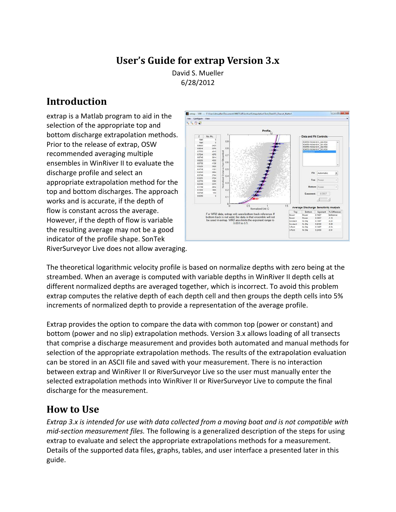# **User's Guide for extrap Version 3.x**

David S. Mueller 6/28/2012

## **Introduction**

extrap is a Matlab program to aid in the selection of the appropriate top and bottom discharge extrapolation methods. Prior to the release of extrap, OSW recommended averaging multiple ensembles in WinRiver II to evaluate the discharge profile and select an appropriate extrapolation method for the top and bottom discharges. The approach works and is accurate, if the depth of flow is constant across the average. However, if the depth of flow is variable the resulting average may not be a good indicator of the profile shape. SonTek RiverSurveyor Live does not allow averaging.



The theoretical logarithmic velocity profile is based on normalize depths with zero being at the streambed. When an average is computed with variable depths in WinRiver II depth cells at different normalized depths are averaged together, which is incorrect. To avoid this problem extrap computes the relative depth of each depth cell and then groups the depth cells into 5% increments of normalized depth to provide a representation of the average profile.

Extrap provides the option to compare the data with common top (power or constant) and bottom (power and no slip) extrapolation methods. Version 3.x allows loading of all transects that comprise a discharge measurement and provides both automated and manual methods for selection of the appropriate extrapolation methods. The results of the extrapolation evaluation can be stored in an ASCII file and saved with your measurement. There is no interaction between extrap and WinRiver II or RiverSurveyor Live so the user must manually enter the selected extrapolation methods into WinRiver II or RiverSurveyor Live to compute the final discharge for the measurement.

## **How to Use**

*Extrap 3.x is intended for use with data collected from a moving boat and is not compatible with mid-section measurement files.* The following is a generalized description of the steps for using extrap to evaluate and select the appropriate extrapolations methods for a measurement. Details of the supported data files, graphs, tables, and user interface a presented later in this guide.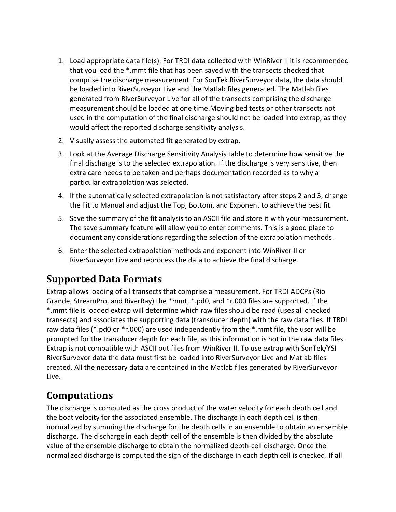- 1. Load appropriate data file(s). For TRDI data collected with WinRiver II it is recommended that you load the \*.mmt file that has been saved with the transects checked that comprise the discharge measurement. For SonTek RiverSurveyor data, the data should be loaded into RiverSurveyor Live and the Matlab files generated. The Matlab files generated from RiverSurveyor Live for all of the transects comprising the discharge measurement should be loaded at one time.Moving bed tests or other transects not used in the computation of the final discharge should not be loaded into extrap, as they would affect the reported discharge sensitivity analysis.
- 2. Visually assess the automated fit generated by extrap.
- 3. Look at the Average Discharge Sensitivity Analysis table to determine how sensitive the final discharge is to the selected extrapolation. If the discharge is very sensitive, then extra care needs to be taken and perhaps documentation recorded as to why a particular extrapolation was selected.
- 4. If the automatically selected extrapolation is not satisfactory after steps 2 and 3, change the Fit to Manual and adjust the Top, Bottom, and Exponent to achieve the best fit.
- 5. Save the summary of the fit analysis to an ASCII file and store it with your measurement. The save summary feature will allow you to enter comments. This is a good place to document any considerations regarding the selection of the extrapolation methods.
- 6. Enter the selected extrapolation methods and exponent into WinRiver II or RiverSurveyor Live and reprocess the data to achieve the final discharge.

## **Supported Data Formats**

Extrap allows loading of all transects that comprise a measurement. For TRDI ADCPs (Rio Grande, StreamPro, and RiverRay) the \*mmt, \*.pd0, and \*r.000 files are supported. If the \*.mmt file is loaded extrap will determine which raw files should be read (uses all checked transects) and associates the supporting data (transducer depth) with the raw data files. If TRDI raw data files (\*.pd0 or \*r.000) are used independently from the \*.mmt file, the user will be prompted for the transducer depth for each file, as this information is not in the raw data files. Extrap is not compatible with ASCII out files from WinRiver II. To use extrap with SonTek/YSI RiverSurveyor data the data must first be loaded into RiverSurveyor Live and Matlab files created. All the necessary data are contained in the Matlab files generated by RiverSurveyor Live.

# **Computations**

The discharge is computed as the cross product of the water velocity for each depth cell and the boat velocity for the associated ensemble. The discharge in each depth cell is then normalized by summing the discharge for the depth cells in an ensemble to obtain an ensemble discharge. The discharge in each depth cell of the ensemble is then divided by the absolute value of the ensemble discharge to obtain the normalized depth-cell discharge. Once the normalized discharge is computed the sign of the discharge in each depth cell is checked. If all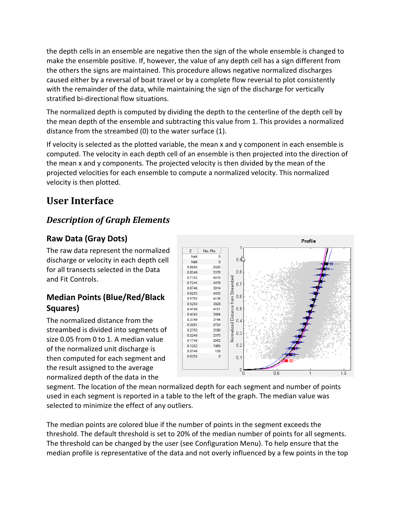the depth cells in an ensemble are negative then the sign of the whole ensemble is changed to make the ensemble positive. If, however, the value of any depth cell has a sign different from the others the signs are maintained. This procedure allows negative normalized discharges caused either by a reversal of boat travel or by a complete flow reversal to plot consistently with the remainder of the data, while maintaining the sign of the discharge for vertically stratified bi-directional flow situations.

The normalized depth is computed by dividing the depth to the centerline of the depth cell by the mean depth of the ensemble and subtracting this value from 1. This provides a normalized distance from the streambed (0) to the water surface (1).

If velocity is selected as the plotted variable, the mean x and y component in each ensemble is computed. The velocity in each depth cell of an ensemble is then projected into the direction of the mean x and y components. The projected velocity is then divided by the mean of the projected velocities for each ensemble to compute a normalized velocity. This normalized velocity is then plotted.

# **User Interface**

## *Description of Graph Elements*

## **Raw Data (Gray Dots)**

The raw data represent the normalized discharge or velocity in each depth cell for all transects selected in the Data and Fit Controls.

## **Median Points (Blue/Red/Black Squares)**

The normalized distance from the streambed is divided into segments of size 0.05 from 0 to 1. A median value of the normalized unit discharge is then computed for each segment and the result assigned to the average normalized depth of the data in the



segment. The location of the mean normalized depth for each segment and number of points used in each segment is reported in a table to the left of the graph. The median value was selected to minimize the effect of any outliers.

The median points are colored blue if the number of points in the segment exceeds the threshold. The default threshold is set to 20% of the median number of points for all segments. The threshold can be changed by the user (see Configuration Menu). To help ensure that the median profile is representative of the data and not overly influenced by a few points in the top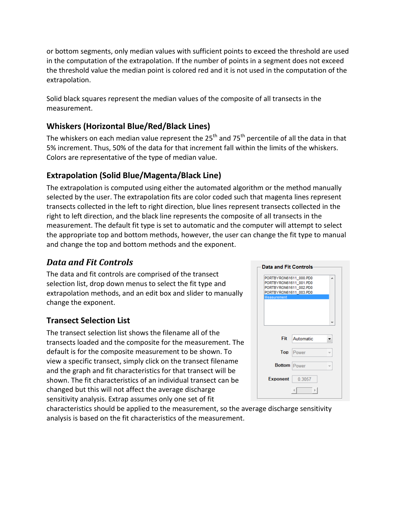or bottom segments, only median values with sufficient points to exceed the threshold are used in the computation of the extrapolation. If the number of points in a segment does not exceed the threshold value the median point is colored red and it is not used in the computation of the extrapolation.

Solid black squares represent the median values of the composite of all transects in the measurement.

## **Whiskers (Horizontal Blue/Red/Black Lines)**

The whiskers on each median value represent the 25<sup>th</sup> and 75<sup>th</sup> percentile of all the data in that 5% increment. Thus, 50% of the data for that increment fall within the limits of the whiskers. Colors are representative of the type of median value.

## **Extrapolation (Solid Blue/Magenta/Black Line)**

The extrapolation is computed using either the automated algorithm or the method manually selected by the user. The extrapolation fits are color coded such that magenta lines represent transects collected in the left to right direction, blue lines represent transects collected in the right to left direction, and the black line represents the composite of all transects in the measurement. The default fit type is set to automatic and the computer will attempt to select the appropriate top and bottom methods, however, the user can change the fit type to manual and change the top and bottom methods and the exponent.

## *Data and Fit Controls*

The data and fit controls are comprised of the transect selection list, drop down menus to select the fit type and extrapolation methods, and an edit box and slider to manually change the exponent.

### **Transect Selection List**

The transect selection list shows the filename all of the transects loaded and the composite for the measurement. The default is for the composite measurement to be shown. To view a specific transect, simply click on the transect filename and the graph and fit characteristics for that transect will be shown. The fit characteristics of an individual transect can be changed but this will not affect the average discharge sensitivity analysis. Extrap assumes only one set of fit

| PORTBYRON61611_000.PD0<br>PORTBYRON61611_001.PD0<br>PORTBYRON61611 002.PD0<br>PORTBYRON61611 003.PD0<br><b>Measurement</b> | ▲         |  |
|----------------------------------------------------------------------------------------------------------------------------|-----------|--|
|                                                                                                                            |           |  |
|                                                                                                                            |           |  |
|                                                                                                                            |           |  |
| Fit                                                                                                                        | Automatic |  |
| Top                                                                                                                        | Power     |  |
| <b>Bottom</b> Power                                                                                                        |           |  |
| <b>Exponent</b>                                                                                                            | 0.3057    |  |

characteristics should be applied to the measurement, so the average discharge sensitivity analysis is based on the fit characteristics of the measurement.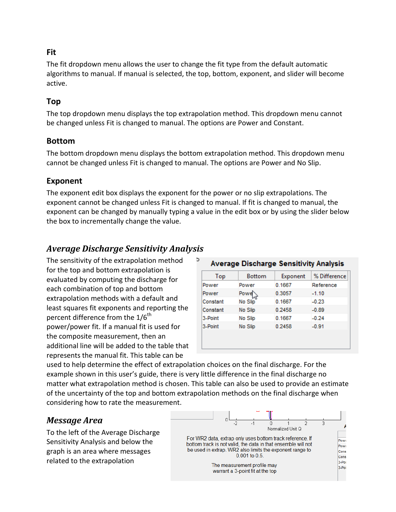#### **Fit**

The fit dropdown menu allows the user to change the fit type from the default automatic algorithms to manual. If manual is selected, the top, bottom, exponent, and slider will become active.

### **Top**

The top dropdown menu displays the top extrapolation method. This dropdown menu cannot be changed unless Fit is changed to manual. The options are Power and Constant.

#### **Bottom**

The bottom dropdown menu displays the bottom extrapolation method. This dropdown menu cannot be changed unless Fit is changed to manual. The options are Power and No Slip.

### **Exponent**

The exponent edit box displays the exponent for the power or no slip extrapolations. The exponent cannot be changed unless Fit is changed to manual. If fit is changed to manual, the exponent can be changed by manually typing a value in the edit box or by using the slider below the box to incrementally change the value.

## *Average Discharge Sensitivity Analysis*

The sensitivity of the extrapolation method for the top and bottom extrapolation is evaluated by computing the discharge for each combination of top and bottom extrapolation methods with a default and least squares fit exponents and reporting the percent difference from the  $1/6^{th}$ power/power fit. If a manual fit is used for the composite measurement, then an additional line will be added to the table that represents the manual fit. This table can be

| Top      | <b>Bottom</b>       | Exponent | % Difference |
|----------|---------------------|----------|--------------|
| Power    | Power               | 0.1667   | Reference    |
| Power    | $Power_{\text{av}}$ | 0.3057   | $-1.10$      |
| Constant | No Slip             | 0.1667   | $-0.23$      |
| Constant | No Slip             | 0.2458   | $-0.89$      |
| 3-Point  | No Slip             | 0.1667   | $-0.24$      |
| 3-Point  | No Slip             | 0.2458   | $-0.91$      |

used to help determine the effect of extrapolation choices on the final discharge. For the example shown in this user's guide, there is very little difference in the final discharge no matter what extrapolation method is chosen. This table can also be used to provide an estimate of the uncertainty of the top and bottom extrapolation methods on the final discharge when considering how to rate the measurement.

## *Message Area*

To the left of the Average Discharge Sensitivity Analysis and below the graph is an area where messages related to the extrapolation

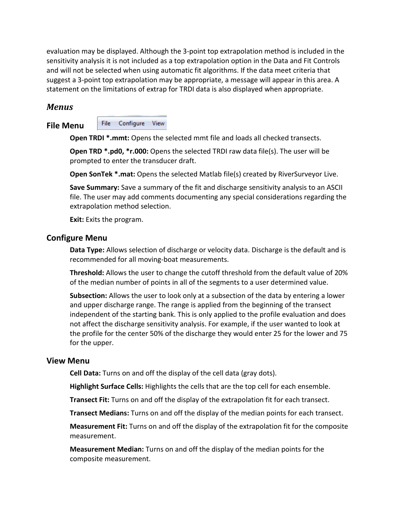evaluation may be displayed. Although the 3-point top extrapolation method is included in the sensitivity analysis it is not included as a top extrapolation option in the Data and Fit Controls and will not be selected when using automatic fit algorithms. If the data meet criteria that suggest a 3-point top extrapolation may be appropriate, a message will appear in this area. A statement on the limitations of extrap for TRDI data is also displayed when appropriate.

#### *Menus*

#### **File Menu**

File Configure View

**Open TRDI \*.mmt:** Opens the selected mmt file and loads all checked transects.

**Open TRD \*.pd0, \*r.000:** Opens the selected TRDI raw data file(s). The user will be prompted to enter the transducer draft.

**Open SonTek \*.mat:** Opens the selected Matlab file(s) created by RiverSurveyor Live.

**Save Summary:** Save a summary of the fit and discharge sensitivity analysis to an ASCII file. The user may add comments documenting any special considerations regarding the extrapolation method selection.

**Exit:** Exits the program.

#### **Configure Menu**

**Data Type:** Allows selection of discharge or velocity data. Discharge is the default and is recommended for all moving-boat measurements.

**Threshold:** Allows the user to change the cutoff threshold from the default value of 20% of the median number of points in all of the segments to a user determined value.

**Subsection:** Allows the user to look only at a subsection of the data by entering a lower and upper discharge range. The range is applied from the beginning of the transect independent of the starting bank. This is only applied to the profile evaluation and does not affect the discharge sensitivity analysis. For example, if the user wanted to look at the profile for the center 50% of the discharge they would enter 25 for the lower and 75 for the upper.

#### **View Menu**

**Cell Data:** Turns on and off the display of the cell data (gray dots).

**Highlight Surface Cells:** Highlights the cells that are the top cell for each ensemble.

**Transect Fit:** Turns on and off the display of the extrapolation fit for each transect.

**Transect Medians:** Turns on and off the display of the median points for each transect.

**Measurement Fit:** Turns on and off the display of the extrapolation fit for the composite measurement.

**Measurement Median:** Turns on and off the display of the median points for the composite measurement.